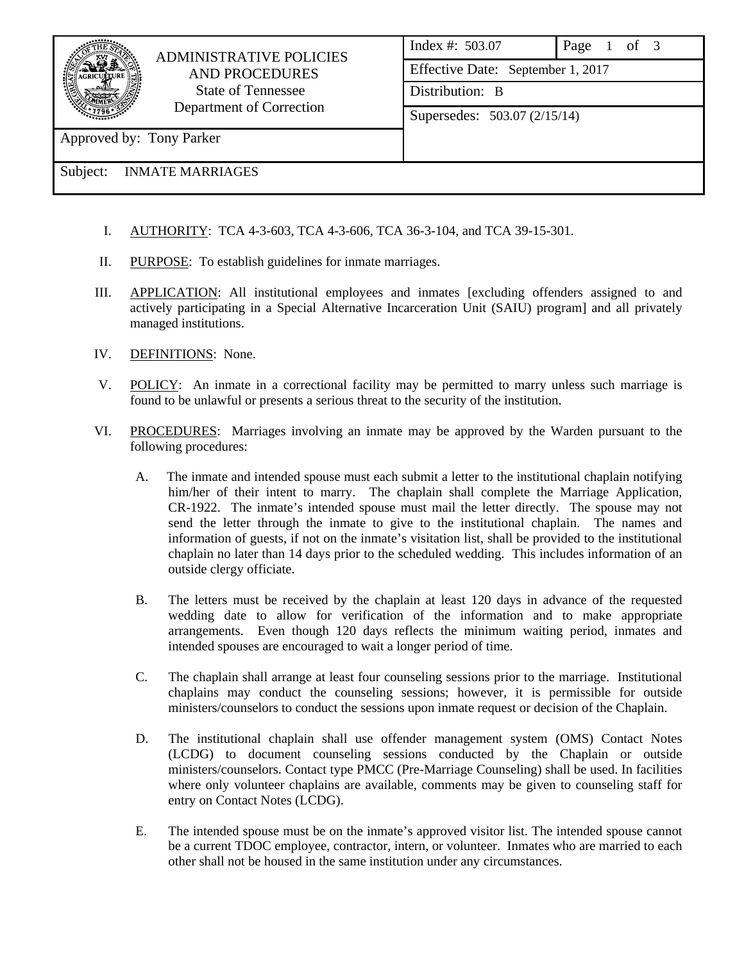

## ADMINISTRATIVE POLICIES AND PROCEDURES State of Tennessee Department of Correction

| Index #: 503.07                   | Page 1 of 3 |  |  |  |  |
|-----------------------------------|-------------|--|--|--|--|
| Effective Date: September 1, 2017 |             |  |  |  |  |
| Distribution: B                   |             |  |  |  |  |
| Supersedes: 503.07 (2/15/14)      |             |  |  |  |  |
|                                   |             |  |  |  |  |

Approved by: Tony Parker

Subject: INMATE MARRIAGES

- I. AUTHORITY: TCA 4-3-603, TCA 4-3-606, TCA 36-3-104, and TCA 39-15-301.
- II. PURPOSE: To establish guidelines for inmate marriages.
- III. APPLICATION: All institutional employees and inmates [excluding offenders assigned to and actively participating in a Special Alternative Incarceration Unit (SAIU) program] and all privately managed institutions.
- IV. DEFINITIONS: None.
- V. POLICY: An inmate in a correctional facility may be permitted to marry unless such marriage is found to be unlawful or presents a serious threat to the security of the institution.
- VI. PROCEDURES: Marriages involving an inmate may be approved by the Warden pursuant to the following procedures:
	- A. The inmate and intended spouse must each submit a letter to the institutional chaplain notifying him/her of their intent to marry. The chaplain shall complete the Marriage Application, CR-1922. The inmate's intended spouse must mail the letter directly. The spouse may not send the letter through the inmate to give to the institutional chaplain. The names and information of guests, if not on the inmate's visitation list, shall be provided to the institutional chaplain no later than 14 days prior to the scheduled wedding. This includes information of an outside clergy officiate.
	- B. The letters must be received by the chaplain at least 120 days in advance of the requested wedding date to allow for verification of the information and to make appropriate arrangements. Even though 120 days reflects the minimum waiting period, inmates and intended spouses are encouraged to wait a longer period of time.
	- C. The chaplain shall arrange at least four counseling sessions prior to the marriage. Institutional chaplains may conduct the counseling sessions; however, it is permissible for outside ministers/counselors to conduct the sessions upon inmate request or decision of the Chaplain.
	- D. The institutional chaplain shall use offender management system (OMS) Contact Notes (LCDG) to document counseling sessions conducted by the Chaplain or outside ministers/counselors. Contact type PMCC (Pre-Marriage Counseling) shall be used. In facilities where only volunteer chaplains are available, comments may be given to counseling staff for entry on Contact Notes (LCDG).
	- E. The intended spouse must be on the inmate's approved visitor list. The intended spouse cannot be a current TDOC employee, contractor, intern, or volunteer. Inmates who are married to each other shall not be housed in the same institution under any circumstances.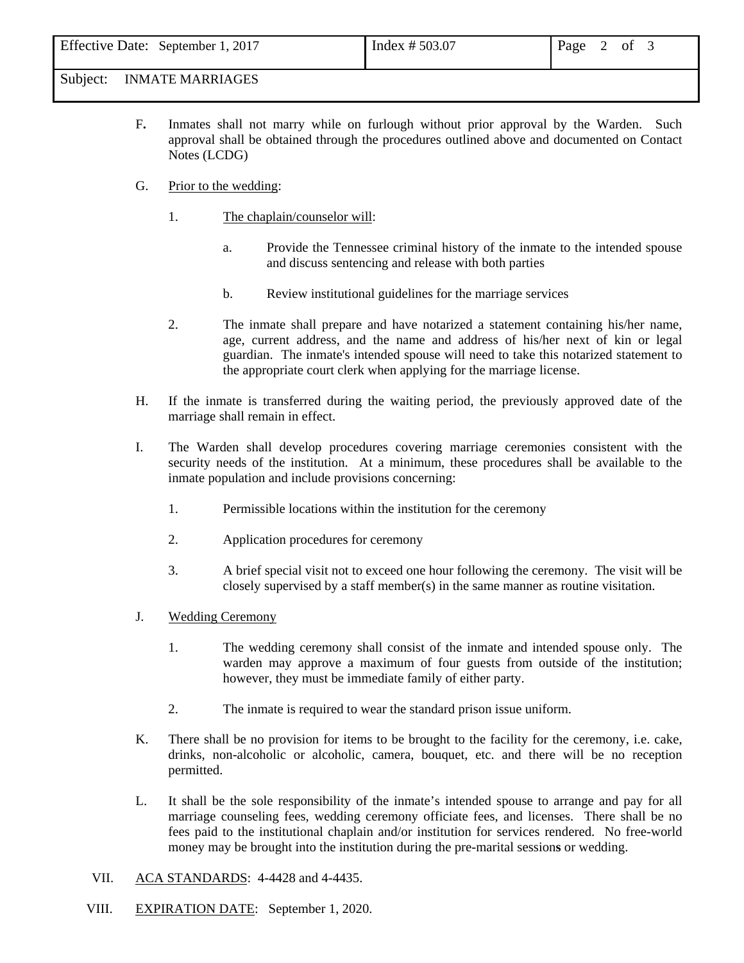Subject: INMATE MARRIAGES

- F**.** Inmates shall not marry while on furlough without prior approval by the Warden. Such approval shall be obtained through the procedures outlined above and documented on Contact Notes (LCDG)
- G. Prior to the wedding:
	- 1. The chaplain/counselor will:
		- a. Provide the Tennessee criminal history of the inmate to the intended spouse and discuss sentencing and release with both parties
		- b. Review institutional guidelines for the marriage services
	- 2. The inmate shall prepare and have notarized a statement containing his/her name, age, current address, and the name and address of his/her next of kin or legal guardian. The inmate's intended spouse will need to take this notarized statement to the appropriate court clerk when applying for the marriage license.
- H. If the inmate is transferred during the waiting period, the previously approved date of the marriage shall remain in effect.
- I. The Warden shall develop procedures covering marriage ceremonies consistent with the security needs of the institution. At a minimum, these procedures shall be available to the inmate population and include provisions concerning:
	- 1. Permissible locations within the institution for the ceremony
	- 2. Application procedures for ceremony
	- 3. A brief special visit not to exceed one hour following the ceremony. The visit will be closely supervised by a staff member(s) in the same manner as routine visitation.
- J. Wedding Ceremony
	- 1. The wedding ceremony shall consist of the inmate and intended spouse only. The warden may approve a maximum of four guests from outside of the institution; however, they must be immediate family of either party.
	- 2. The inmate is required to wear the standard prison issue uniform.
- K. There shall be no provision for items to be brought to the facility for the ceremony, i.e. cake, drinks, non-alcoholic or alcoholic, camera, bouquet, etc. and there will be no reception permitted.
- L. It shall be the sole responsibility of the inmate's intended spouse to arrange and pay for all marriage counseling fees, wedding ceremony officiate fees, and licenses. There shall be no fees paid to the institutional chaplain and/or institution for services rendered. No free-world money may be brought into the institution during the pre-marital session**s** or wedding.
- VII. ACA STANDARDS: 4-4428 and 4-4435.
- VIII. EXPIRATION DATE: September 1, 2020.